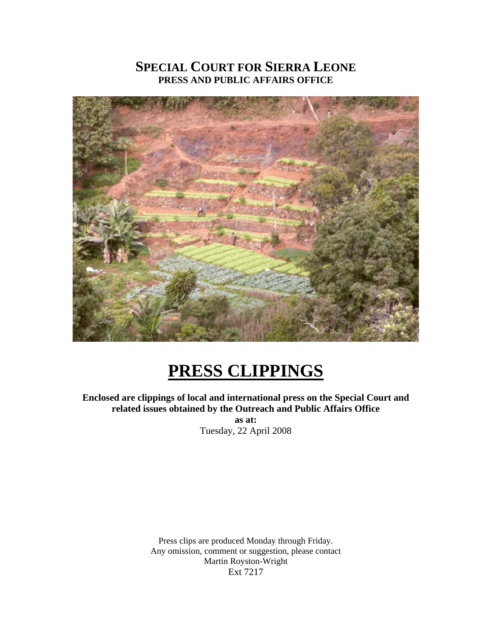# **SPECIAL COURT FOR SIERRA LEONE PRESS AND PUBLIC AFFAIRS OFFICE**



# **PRESS CLIPPINGS**

**Enclosed are clippings of local and international press on the Special Court and related issues obtained by the Outreach and Public Affairs Office as at:**  Tuesday, 22 April 2008

> Press clips are produced Monday through Friday. Any omission, comment or suggestion, please contact Martin Royston-Wright Ext 7217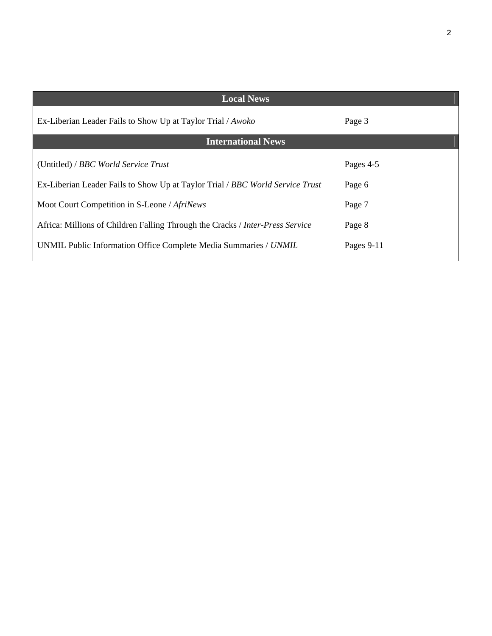| <b>Local News</b>                                                             |            |
|-------------------------------------------------------------------------------|------------|
| Ex-Liberian Leader Fails to Show Up at Taylor Trial / Awoko                   | Page 3     |
| <b>International News</b>                                                     |            |
| (Untitled) / BBC World Service Trust                                          | Pages 4-5  |
| Ex-Liberian Leader Fails to Show Up at Taylor Trial / BBC World Service Trust | Page 6     |
| Moot Court Competition in S-Leone / AfriNews                                  | Page 7     |
| Africa: Millions of Children Falling Through the Cracks / Inter-Press Service | Page 8     |
| UNMIL Public Information Office Complete Media Summaries / UNMIL              | Pages 9-11 |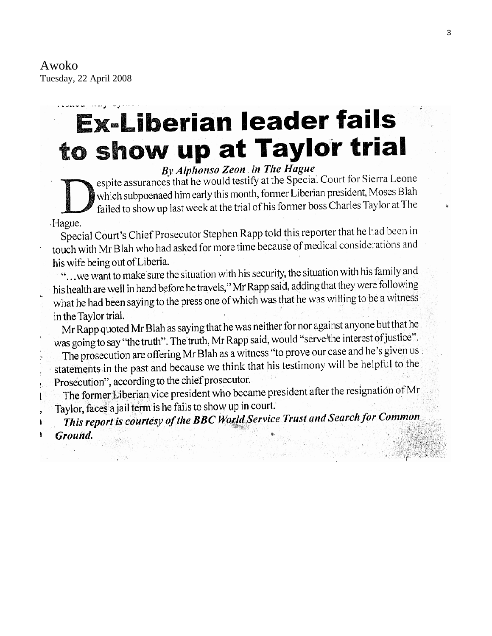Awoko Tuesday, 22 April 2008

# **Ex-Liberian leader fails** to show up at Taylor trial

By Alphonso Zeon in The Hague espite assurances that he would testify at the Special Court for Sierra Leone which subpoenaed him early this month, former Liberian president, Moses Blah failed to show up last week at the trial of his former boss Charles Taylor at The

#### Hague.

ı

Special Court's Chief Prosecutor Stephen Rapp told this reporter that he had been in touch with Mr Blah who had asked for more time because of medical considerations and his wife being out of Liberia.

"... we want to make sure the situation with his security, the situation with his family and his health are well in hand before he travels," Mr Rapp said, adding that they were following what he had been saying to the press one of which was that he was willing to be a witness in the Taylor trial.

Mr Rapp quoted Mr Blah as saying that he was neither for nor against anyone but that he was going to say "the truth". The truth, Mr Rapp said, would "serve the interest of justice". The prosecution are offering Mr Blah as a witness "to prove our case and he's given us statements in the past and because we think that his testimony will be helpful to the Prosecution", according to the chief prosecutor.

The former Liberian vice president who became president after the resignation of Mr Taylor, faces a jail term is he fails to show up in court.

This report is courtesy of the BBC World Service Trust and Search for Common Ground.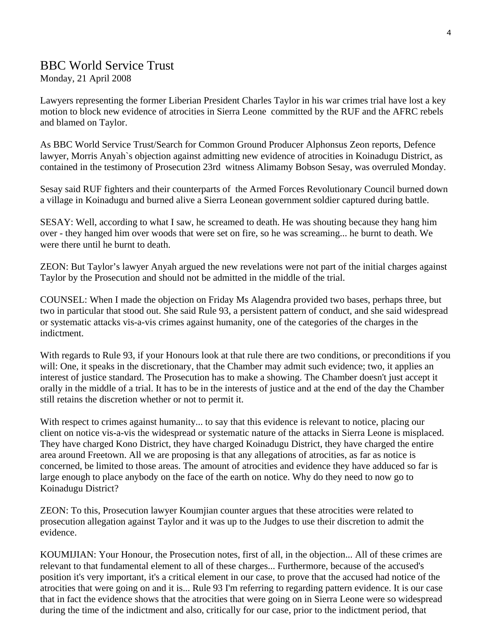## BBC World Service Trust

Monday, 21 April 2008

Lawyers representing the former Liberian President Charles Taylor in his war crimes trial have lost a key motion to block new evidence of atrocities in Sierra Leone committed by the RUF and the AFRC rebels and blamed on Taylor.

As BBC World Service Trust/Search for Common Ground Producer Alphonsus Zeon reports, Defence lawyer, Morris Anyah`s objection against admitting new evidence of atrocities in Koinadugu District, as contained in the testimony of Prosecution 23rd witness Alimamy Bobson Sesay, was overruled Monday.

Sesay said RUF fighters and their counterparts of the Armed Forces Revolutionary Council burned down a village in Koinadugu and burned alive a Sierra Leonean government soldier captured during battle.

SESAY: Well, according to what I saw, he screamed to death. He was shouting because they hang him over - they hanged him over woods that were set on fire, so he was screaming... he burnt to death. We were there until he burnt to death.

ZEON: But Taylor's lawyer Anyah argued the new revelations were not part of the initial charges against Taylor by the Prosecution and should not be admitted in the middle of the trial.

COUNSEL: When I made the objection on Friday Ms Alagendra provided two bases, perhaps three, but two in particular that stood out. She said Rule 93, a persistent pattern of conduct, and she said widespread or systematic attacks vis-a-vis crimes against humanity, one of the categories of the charges in the indictment.

With regards to Rule 93, if your Honours look at that rule there are two conditions, or preconditions if you will: One, it speaks in the discretionary, that the Chamber may admit such evidence; two, it applies an interest of justice standard. The Prosecution has to make a showing. The Chamber doesn't just accept it orally in the middle of a trial. It has to be in the interests of justice and at the end of the day the Chamber still retains the discretion whether or not to permit it.

With respect to crimes against humanity... to say that this evidence is relevant to notice, placing our client on notice vis-a-vis the widespread or systematic nature of the attacks in Sierra Leone is misplaced. They have charged Kono District, they have charged Koinadugu District, they have charged the entire area around Freetown. All we are proposing is that any allegations of atrocities, as far as notice is concerned, be limited to those areas. The amount of atrocities and evidence they have adduced so far is large enough to place anybody on the face of the earth on notice. Why do they need to now go to Koinadugu District?

ZEON: To this, Prosecution lawyer Koumjian counter argues that these atrocities were related to prosecution allegation against Taylor and it was up to the Judges to use their discretion to admit the evidence.

KOUMIJIAN: Your Honour, the Prosecution notes, first of all, in the objection... All of these crimes are relevant to that fundamental element to all of these charges... Furthermore, because of the accused's position it's very important, it's a critical element in our case, to prove that the accused had notice of the atrocities that were going on and it is... Rule 93 I'm referring to regarding pattern evidence. It is our case that in fact the evidence shows that the atrocities that were going on in Sierra Leone were so widespread during the time of the indictment and also, critically for our case, prior to the indictment period, that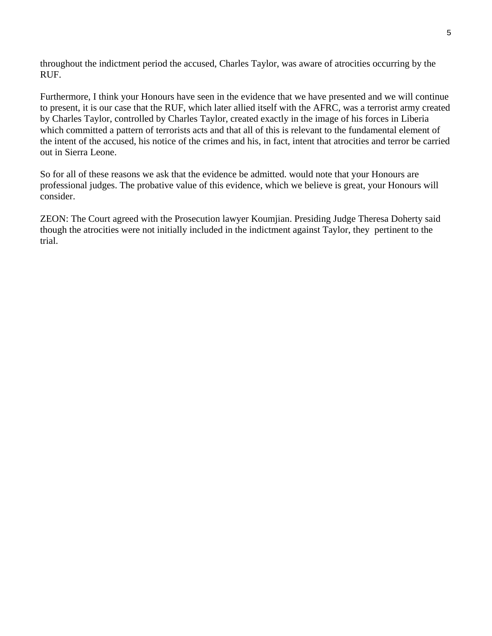throughout the indictment period the accused, Charles Taylor, was aware of atrocities occurring by the RUF.

Furthermore, I think your Honours have seen in the evidence that we have presented and we will continue to present, it is our case that the RUF, which later allied itself with the AFRC, was a terrorist army created by Charles Taylor, controlled by Charles Taylor, created exactly in the image of his forces in Liberia which committed a pattern of terrorists acts and that all of this is relevant to the fundamental element of the intent of the accused, his notice of the crimes and his, in fact, intent that atrocities and terror be carried out in Sierra Leone.

So for all of these reasons we ask that the evidence be admitted. would note that your Honours are professional judges. The probative value of this evidence, which we believe is great, your Honours will consider.

ZEON: The Court agreed with the Prosecution lawyer Koumjian. Presiding Judge Theresa Doherty said though the atrocities were not initially included in the indictment against Taylor, they pertinent to the trial.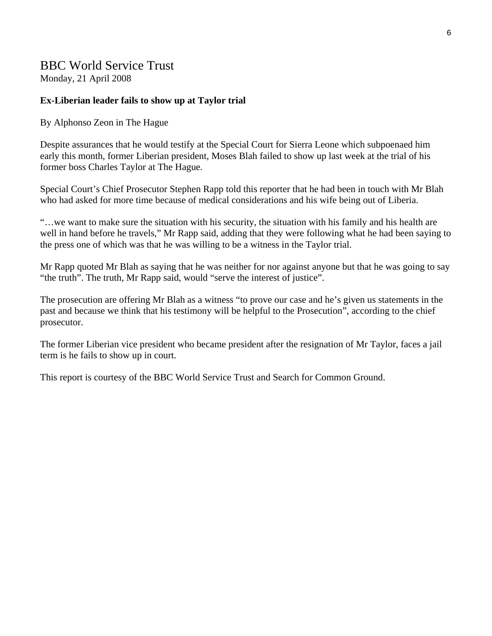### BBC World Service Trust

Monday, 21 April 2008

#### **Ex-Liberian leader fails to show up at Taylor trial**

#### By Alphonso Zeon in The Hague

Despite assurances that he would testify at the Special Court for Sierra Leone which subpoenaed him early this month, former Liberian president, Moses Blah failed to show up last week at the trial of his former boss Charles Taylor at The Hague.

Special Court's Chief Prosecutor Stephen Rapp told this reporter that he had been in touch with Mr Blah who had asked for more time because of medical considerations and his wife being out of Liberia.

"…we want to make sure the situation with his security, the situation with his family and his health are well in hand before he travels," Mr Rapp said, adding that they were following what he had been saying to the press one of which was that he was willing to be a witness in the Taylor trial.

Mr Rapp quoted Mr Blah as saying that he was neither for nor against anyone but that he was going to say "the truth". The truth, Mr Rapp said, would "serve the interest of justice".

The prosecution are offering Mr Blah as a witness "to prove our case and he's given us statements in the past and because we think that his testimony will be helpful to the Prosecution", according to the chief prosecutor.

The former Liberian vice president who became president after the resignation of Mr Taylor, faces a jail term is he fails to show up in court.

This report is courtesy of the BBC World Service Trust and Search for Common Ground.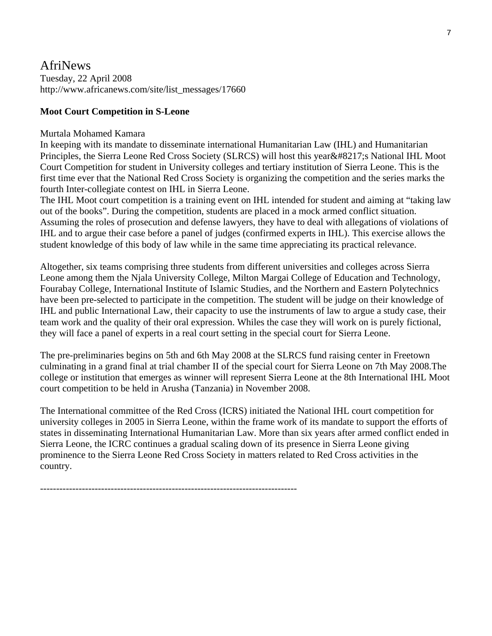#### AfriNews Tuesday, 22 April 2008 http://www.africanews.com/site/list\_messages/17660

#### **Moot Court Competition in S-Leone**

#### Murtala Mohamed Kamara

In keeping with its mandate to disseminate international Humanitarian Law (IHL) and Humanitarian Principles, the Sierra Leone Red Cross Society (SLRCS) will host this year ' SNational IHL Moot Court Competition for student in University colleges and tertiary institution of Sierra Leone. This is the first time ever that the National Red Cross Society is organizing the competition and the series marks the fourth Inter-collegiate contest on IHL in Sierra Leone.

The IHL Moot court competition is a training event on IHL intended for student and aiming at "taking law out of the books". During the competition, students are placed in a mock armed conflict situation. Assuming the roles of prosecution and defense lawyers, they have to deal with allegations of violations of IHL and to argue their case before a panel of judges (confirmed experts in IHL). This exercise allows the student knowledge of this body of law while in the same time appreciating its practical relevance.

Altogether, six teams comprising three students from different universities and colleges across Sierra Leone among them the Njala University College, Milton Margai College of Education and Technology, Fourabay College, International Institute of Islamic Studies, and the Northern and Eastern Polytechnics have been pre-selected to participate in the competition. The student will be judge on their knowledge of IHL and public International Law, their capacity to use the instruments of law to argue a study case, their team work and the quality of their oral expression. Whiles the case they will work on is purely fictional, they will face a panel of experts in a real court setting in the special court for Sierra Leone.

The pre-preliminaries begins on 5th and 6th May 2008 at the SLRCS fund raising center in Freetown culminating in a grand final at trial chamber II of the special court for Sierra Leone on 7th May 2008.The college or institution that emerges as winner will represent Sierra Leone at the 8th International IHL Moot court competition to be held in Arusha (Tanzania) in November 2008.

The International committee of the Red Cross (ICRS) initiated the National IHL court competition for university colleges in 2005 in Sierra Leone, within the frame work of its mandate to support the efforts of states in disseminating International Humanitarian Law. More than six years after armed conflict ended in Sierra Leone, the ICRC continues a gradual scaling down of its presence in Sierra Leone giving prominence to the Sierra Leone Red Cross Society in matters related to Red Cross activities in the country.

--------------------------------------------------------------------------------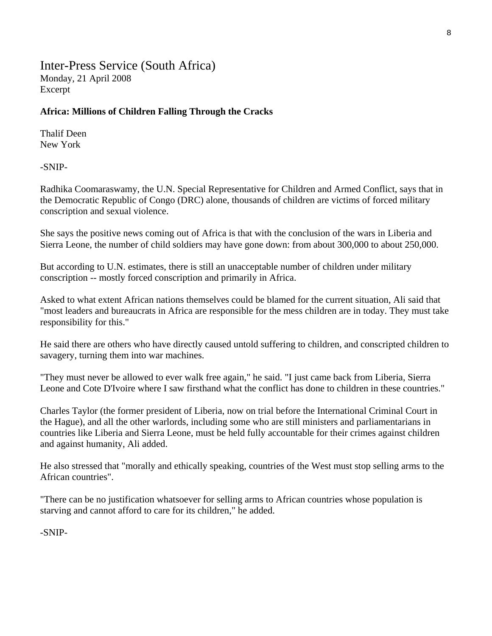Inter-Press Service (South Africa) Monday, 21 April 2008 Excerpt

#### **Africa: Millions of Children Falling Through the Cracks**

Thalif Deen New York

-SNIP-

Radhika Coomaraswamy, the U.N. Special Representative for Children and Armed Conflict, says that in the Democratic Republic of Congo (DRC) alone, thousands of children are victims of forced military conscription and sexual violence.

She says the positive news coming out of Africa is that with the conclusion of the wars in Liberia and Sierra Leone, the number of child soldiers may have gone down: from about 300,000 to about 250,000.

But according to U.N. estimates, there is still an unacceptable number of children under military conscription -- mostly forced conscription and primarily in Africa.

Asked to what extent African nations themselves could be blamed for the current situation, Ali said that "most leaders and bureaucrats in Africa are responsible for the mess children are in today. They must take responsibility for this."

He said there are others who have directly caused untold suffering to children, and conscripted children to savagery, turning them into war machines.

"They must never be allowed to ever walk free again," he said. "I just came back from Liberia, Sierra Leone and Cote D'Ivoire where I saw firsthand what the conflict has done to children in these countries."

Charles Taylor (the former president of Liberia, now on trial before the International Criminal Court in the Hague), and all the other warlords, including some who are still ministers and parliamentarians in countries like Liberia and Sierra Leone, must be held fully accountable for their crimes against children and against humanity, Ali added.

He also stressed that "morally and ethically speaking, countries of the West must stop selling arms to the African countries".

"There can be no justification whatsoever for selling arms to African countries whose population is starving and cannot afford to care for its children," he added.

-SNIP-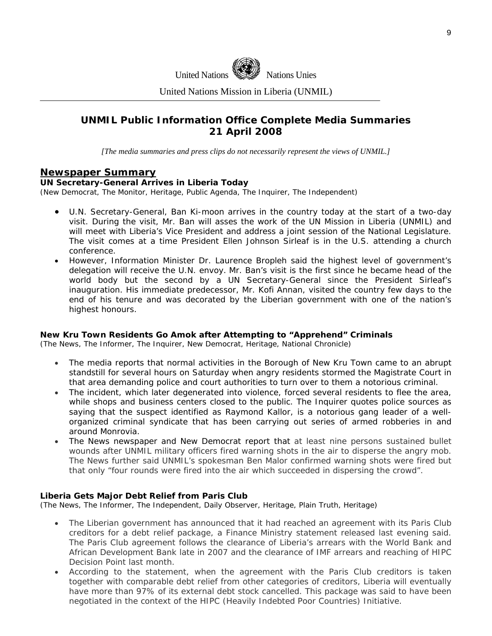

United Nations Mission in Liberia (UNMIL)

#### **UNMIL Public Information Office Complete Media Summaries 21 April 2008**

*[The media summaries and press clips do not necessarily represent the views of UNMIL.]* 

#### **Newspaper Summary**

#### **UN Secretary-General Arrives in Liberia Today**

(New Democrat, The Monitor, Heritage, Public Agenda, The Inquirer, The Independent)

- U.N. Secretary-General, Ban Ki-moon arrives in the country today at the start of a two-day visit. During the visit, Mr. Ban will asses the work of the UN Mission in Liberia (UNMIL) and will meet with Liberia's Vice President and address a joint session of the National Legislature. The visit comes at a time President Ellen Johnson Sirleaf is in the U.S. attending a church conference.
- However, Information Minister Dr. Laurence Bropleh said the highest level of government's delegation will receive the U.N. envoy. Mr. Ban's visit is the first since he became head of the world body but the second by a UN Secretary-General since the President Sirleaf's inauguration. His immediate predecessor, Mr. Kofi Annan, visited the country few days to the end of his tenure and was decorated by the Liberian government with one of the nation's highest honours.

#### **New Kru Town Residents Go Amok after Attempting to "Apprehend" Criminals**

(The News, The Informer, The Inquirer, New Democrat, Heritage, National Chronicle)

- The media reports that normal activities in the Borough of New Kru Town came to an abrupt standstill for several hours on Saturday when angry residents stormed the Magistrate Court in that area demanding police and court authorities to turn over to them a notorious criminal.
- The incident, which later degenerated into violence, forced several residents to flee the area, while shops and business centers closed to the public. The Inquirer quotes police sources as saying that the suspect identified as Raymond Kallor, is a notorious gang leader of a wellorganized criminal syndicate that has been carrying out series of armed robberies in and around Monrovia.
- The News newspaper and New Democrat report that at least nine persons sustained bullet wounds after UNMIL military officers fired warning shots in the air to disperse the angry mob. The News further said UNMIL's spokesman Ben Malor confirmed warning shots were fired but that only "four rounds were fired into the air which succeeded in dispersing the crowd".

#### **Liberia Gets Major Debt Relief from Paris Club**

(The News, The Informer, The Independent, Daily Observer, Heritage, Plain Truth, Heritage)

- The Liberian government has announced that it had reached an agreement with its Paris Club creditors for a debt relief package, a Finance Ministry statement released last evening said. The Paris Club agreement follows the clearance of Liberia's arrears with the World Bank and African Development Bank late in 2007 and the clearance of IMF arrears and reaching of HIPC Decision Point last month.
- According to the statement, when the agreement with the Paris Club creditors is taken together with comparable debt relief from other categories of creditors, Liberia will eventually have more than 97% of its external debt stock cancelled. This package was said to have been negotiated in the context of the HIPC (Heavily Indebted Poor Countries) Initiative.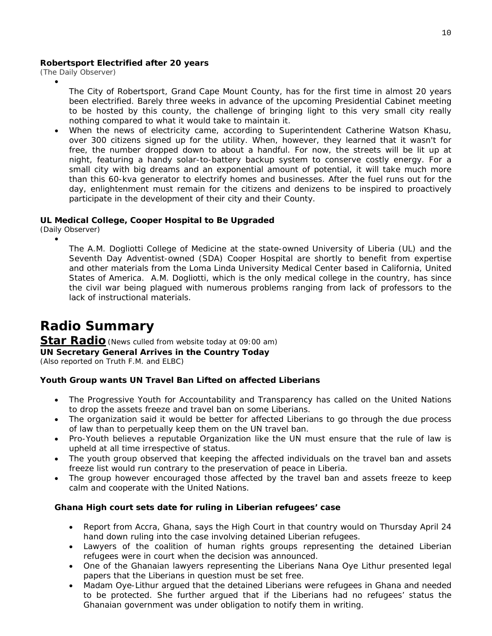#### **Robertsport Electrified after 20 years**

(The Daily Observer)

•

- The City of Robertsport, Grand Cape Mount County, has for the first time in almost 20 years been electrified. Barely three weeks in advance of the upcoming Presidential Cabinet meeting to be hosted by this county, the challenge of bringing light to this very small city really nothing compared to what it would take to maintain it.
- When the news of electricity came, according to Superintendent Catherine Watson Khasu, over 300 citizens signed up for the utility. When, however, they learned that it wasn't for free, the number dropped down to about a handful. For now, the streets will be lit up at night, featuring a handy solar-to-battery backup system to conserve costly energy. For a small city with big dreams and an exponential amount of potential, it will take much more than this 60-kva generator to electrify homes and businesses. After the fuel runs out for the day, enlightenment must remain for the citizens and denizens to be inspired to proactively participate in the development of their city and their County.

#### **UL Medical College, Cooper Hospital to Be Upgraded**

(Daily Observer)

•

The A.M. Dogliotti College of Medicine at the state-owned University of Liberia (UL) and the Seventh Day Adventist-owned (SDA) Cooper Hospital are shortly to benefit from expertise and other materials from the Loma Linda University Medical Center based in California, United States of America. A.M. Dogliotti, which is the only medical college in the country, has since the civil war being plagued with numerous problems ranging from lack of professors to the lack of instructional materials.

# **Radio Summary**

#### **Star Radio***(News culled from website today at 09:00 am)* **UN Secretary General Arrives in the Country Today**

*(Also reported on Truth F.M. and ELBC)*

#### **Youth Group wants UN Travel Ban Lifted on affected Liberians**

- The Progressive Youth for Accountability and Transparency has called on the United Nations to drop the assets freeze and travel ban on some Liberians.
- The organization said it would be better for affected Liberians to go through the due process of law than to perpetually keep them on the UN travel ban.
- Pro-Youth believes a reputable Organization like the UN must ensure that the rule of law is upheld at all time irrespective of status.
- The youth group observed that keeping the affected individuals on the travel ban and assets freeze list would run contrary to the preservation of peace in Liberia.
- The group however encouraged those affected by the travel ban and assets freeze to keep calm and cooperate with the United Nations.

#### **Ghana High court sets date for ruling in Liberian refugees' case**

- Report from Accra, Ghana, says the High Court in that country would on Thursday April 24 hand down ruling into the case involving detained Liberian refugees.
- Lawyers of the coalition of human rights groups representing the detained Liberian refugees were in court when the decision was announced.
- One of the Ghanaian lawyers representing the Liberians Nana Oye Lithur presented legal papers that the Liberians in question must be set free.
- Madam Oye-Lithur argued that the detained Liberians were refugees in Ghana and needed to be protected. She further argued that if the Liberians had no refugees' status the Ghanaian government was under obligation to notify them in writing.